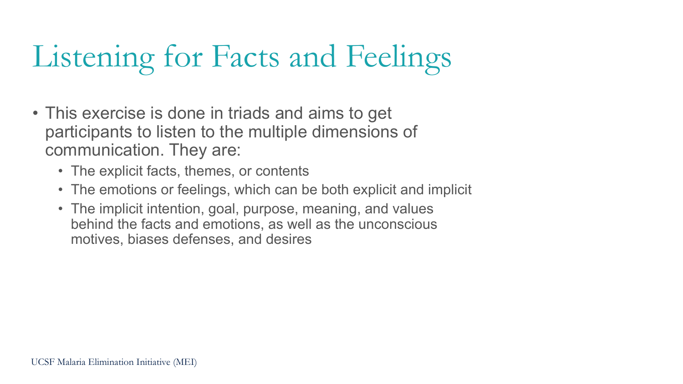## Listening for Facts and Feelings

- This exercise is done in triads and aims to get participants to listen to the multiple dimensions of communication. They are:
	- The explicit facts, themes, or contents
	- The emotions or feelings, which can be both explicit and implicit
	- The implicit intention, goal, purpose, meaning, and values behind the facts and emotions, as well as the unconscious motives, biases defenses, and desires